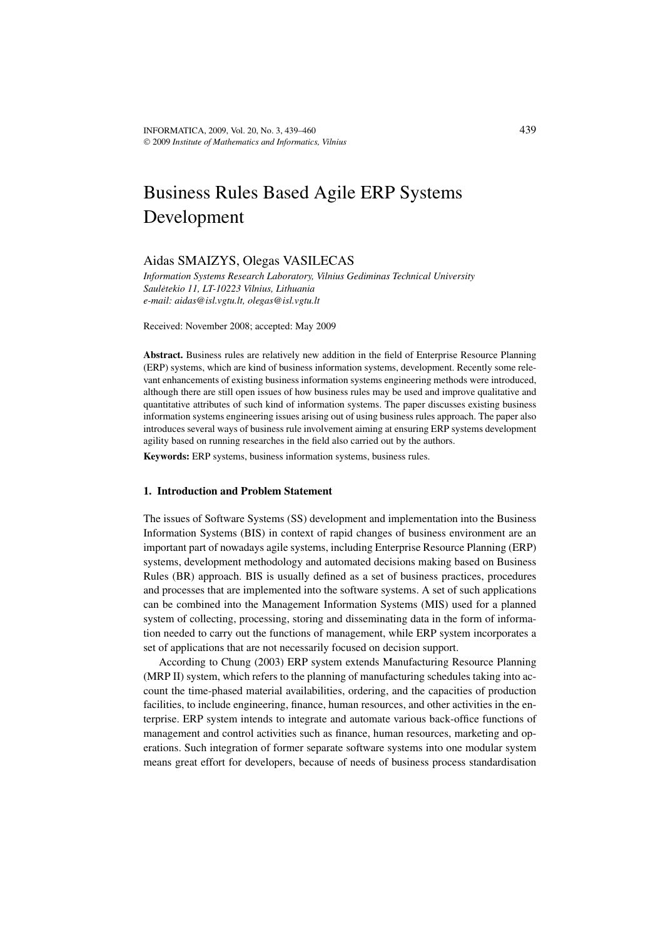# Business Rules Based Agile ERP Systems Development

# Aidas SMAIZYS, Olegas VASILECAS

*Information Systems Research Laboratory, Vilnius Gediminas Technical University Sauletekio 11, LT-10223 Vilnius, Lithuania ˙ e-mail: aidas@isl.vgtu.lt, olegas@isl.vgtu.lt*

Received: November 2008; accepted: May 2009

**Abstract.** Business rules are relatively new addition in the field of Enterprise Resource Planning (ERP) systems, which are kind of business information systems, development. Recently some relevant enhancements of existing business information systems engineering methods were introduced, although there are still open issues of how business rules may be used and improve qualitative and quantitative attributes of such kind of information systems. The paper discusses existing business information systems engineering issues arising out of using business rules approach. The paper also introduces several ways of business rule involvement aiming at ensuring ERP systems development agility based on running researches in the field also carried out by the authors.

**Keywords:** ERP systems, business information systems, business rules.

#### **1. Introduction and Problem Statement**

The issues of Software Systems (SS) development and implementation into the Business Information Systems (BIS) in context of rapid changes of business environment are an important part of nowadays agile systems, including Enterprise Resource Planning (ERP) systems, development methodology and automated decisions making based on Business Rules (BR) approach. BIS is usually defined as a set of business practices, procedures and processes that are implemented into the software systems. A set of such applications can be combined into the Management Information Systems (MIS) used for a planned system of collecting, processing, storing and disseminating data in the form of information needed to carry out the functions of management, while ERP system incorporates a set of applications that are not necessarily focused on decision support.

According to Chung (2003) ERP system extends Manufacturing Resource Planning (MRP II) system, which refers to the planning of manufacturing schedules taking into account the time-phased material availabilities, ordering, and the capacities of production facilities, to include engineering, finance, human resources, and other activities in the enterprise. ERP system intends to integrate and automate various back-office functions of management and control activities such as finance, human resources, marketing and operations. Such integration of former separate software systems into one modular system means great effort for developers, because of needs of business process standardisation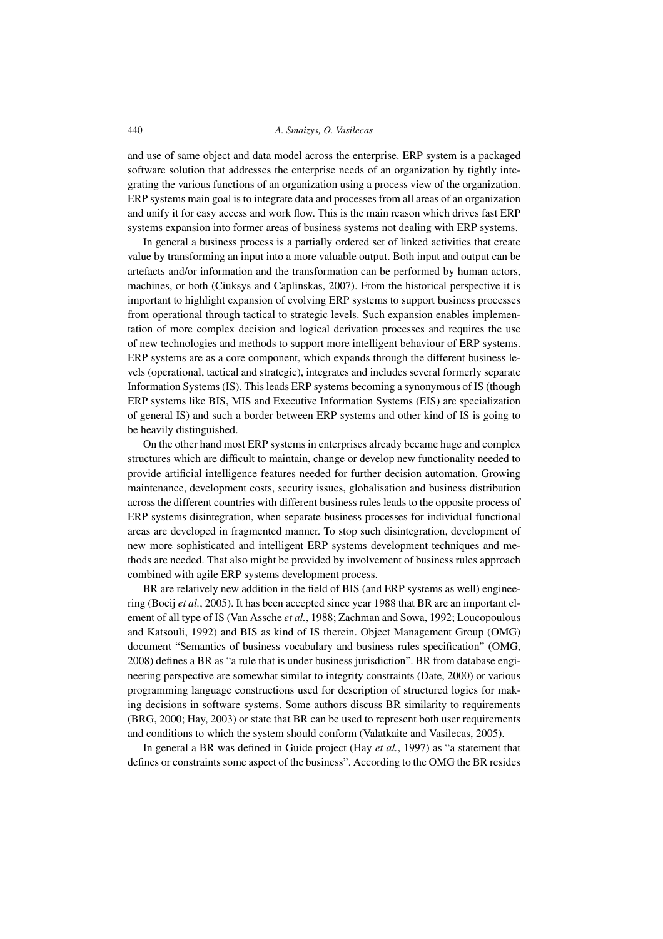### 440 *A. Smaizys, O. Vasilecas*

and use of same object and data model across the enterprise. ERP system is a packaged software solution that addresses the enterprise needs of an organization by tightly integrating the various functions of an organization using a process view of the organization. ERP systems main goal is to integrate data and processes from all areas of an organization and unify it for easy access and work flow. This is the main reason which drives fast ERP systems expansion into former areas of business systems not dealing with ERP systems.

In general a business process is a partially ordered set of linked activities that create value by transforming an input into a more valuable output. Both input and output can be artefacts and/or information and the transformation can be performed by human actors, machines, or both (Ciuksys and Caplinskas, 2007). From the historical perspective it is important to highlight expansion of evolving ERP systems to support business processes from operational through tactical to strategic levels. Such expansion enables implementation of more complex decision and logical derivation processes and requires the use of new technologies and methods to support more intelligent behaviour of ERP systems. ERP systems are as a core component, which expands through the different business levels (operational, tactical and strategic), integrates and includes several formerly separate Information Systems (IS). This leads ERP systems becoming a synonymous of IS (though ERP systems like BIS, MIS and Executive Information Systems (EIS) are specialization of general IS) and such a border between ERP systems and other kind of IS is going to be heavily distinguished.

On the other hand most ERP systems in enterprises already became huge and complex structures which are difficult to maintain, change or develop new functionality needed to provide artificial intelligence features needed for further decision automation. Growing maintenance, development costs, security issues, globalisation and business distribution across the different countries with different business rules leads to the opposite process of ERP systems disintegration, when separate business processes for individual functional areas are developed in fragmented manner. To stop such disintegration, development of new more sophisticated and intelligent ERP systems development techniques and methods are needed. That also might be provided by involvement of business rules approach combined with agile ERP systems development process.

BR are relatively new addition in the field of BIS (and ERP systems as well) engineering (Bocij *et al.*, 2005). It has been accepted since year 1988 that BR are an important element of all type of IS (Van Assche *et al.*, 1988; Zachman and Sowa, 1992; Loucopoulous and Katsouli, 1992) and BIS as kind of IS therein. Object Management Group (OMG) document "Semantics of business vocabulary and business rules specification" (OMG, 2008) defines a BR as "a rule that is under business jurisdiction". BR from database engineering perspective are somewhat similar to integrity constraints (Date, 2000) or various programming language constructions used for description of structured logics for making decisions in software systems. Some authors discuss BR similarity to requirements (BRG, 2000; Hay, 2003) or state that BR can be used to represent both user requirements and conditions to which the system should conform (Valatkaite and Vasilecas, 2005).

In general a BR was defined in Guide project (Hay *et al.*, 1997) as "a statement that defines or constraints some aspect of the business". According to the OMG the BR resides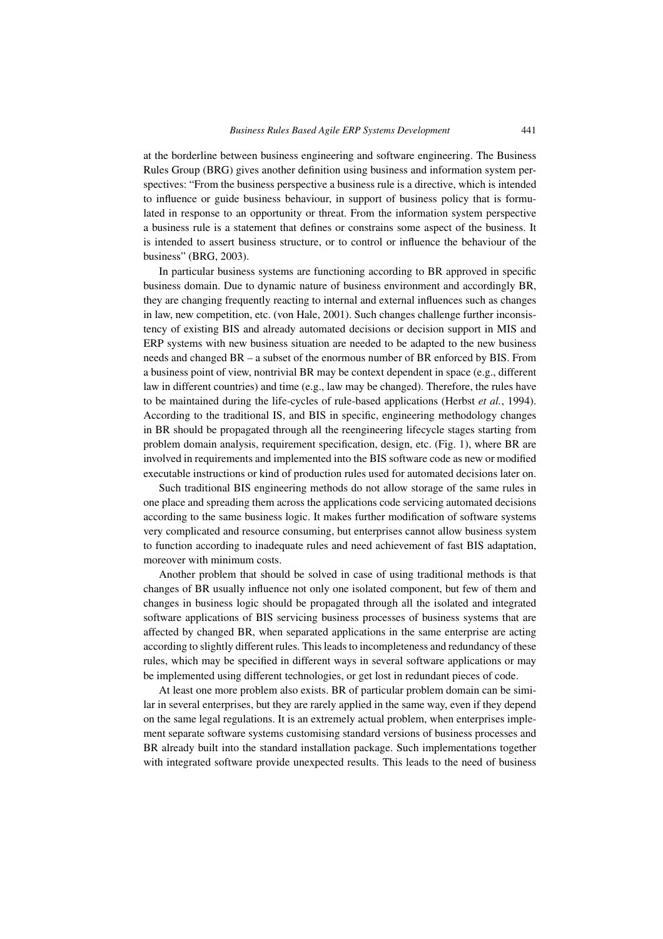at the borderline between business engineering and software engineering. The Business Rules Group (BRG) gives another definition using business and information system perspectives: "From the business perspective a business rule is a directive, which is intended to influence or guide business behaviour, in support of business policy that is formulated in response to an opportunity or threat. From the information system perspective a business rule is a statement that defines or constrains some aspect of the business. It is intended to assert business structure, or to control or influence the behaviour of the business" (BRG, 2003).

In particular business systems are functioning according to BR approved in specific business domain. Due to dynamic nature of business environment and accordingly BR, they are changing frequently reacting to internal and external influences such as changes in law, new competition, etc. (von Hale, 2001). Such changes challenge further inconsistency of existing BIS and already automated decisions or decision support in MIS and ERP systems with new business situation are needed to be adapted to the new business needs and changed BR – a subset of the enormous number of BR enforced by BIS. From a business point of view, nontrivial BR may be context dependent in space (e.g., different law in different countries) and time (e.g., law may be changed). Therefore, the rules have to be maintained during the life-cycles of rule-based applications (Herbst *et al.*, 1994). According to the traditional IS, and BIS in specific, engineering methodology changes in BR should be propagated through all the reengineering lifecycle stages starting from problem domain analysis, requirement specification, design, etc. (Fig. 1), where BR are involved in requirements and implemented into the BIS software code as new or modified executable instructions or kind of production rules used for automated decisions later on.

Such traditional BIS engineering methods do not allow storage of the same rules in one place and spreading them across the applications code servicing automated decisions according to the same business logic. It makes further modification of software systems very complicated and resource consuming, but enterprises cannot allow business system to function according to inadequate rules and need achievement of fast BIS adaptation, moreover with minimum costs.

Another problem that should be solved in case of using traditional methods is that changes of BR usually influence not only one isolated component, but few of them and changes in business logic should be propagated through all the isolated and integrated software applications of BIS servicing business processes of business systems that are affected by changed BR, when separated applications in the same enterprise are acting according to slightly different rules. This leads to incompleteness and redundancy of these rules, which may be specified in different ways in several software applications or may be implemented using different technologies, or get lost in redundant pieces of code.

At least one more problem also exists. BR of particular problem domain can be similar in several enterprises, but they are rarely applied in the same way, even if they depend on the same legal regulations. It is an extremely actual problem, when enterprises implement separate software systems customising standard versions of business processes and BR already built into the standard installation package. Such implementations together with integrated software provide unexpected results. This leads to the need of business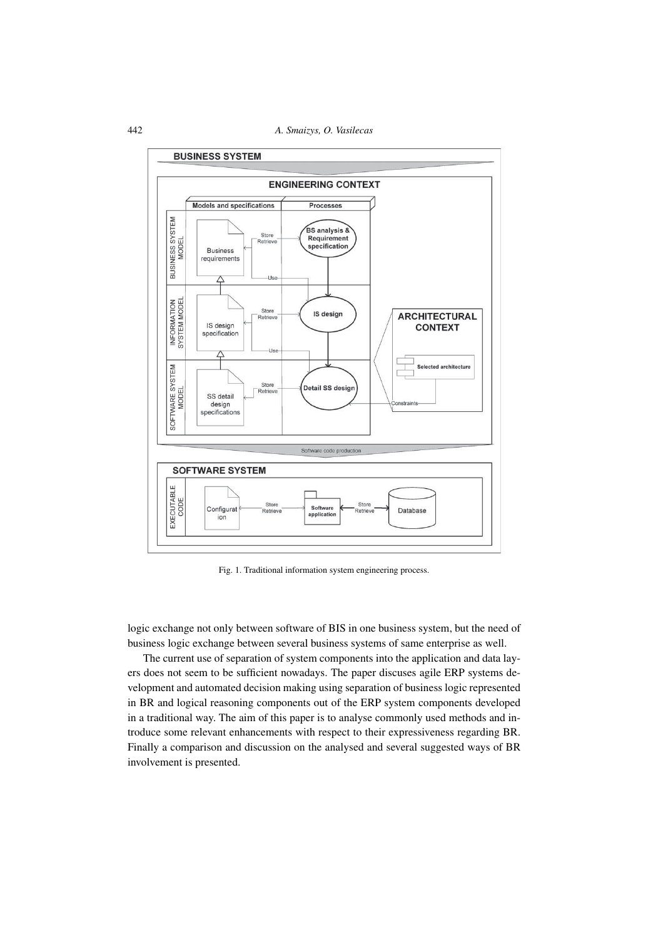442 *A. Smaizys, O. Vasilecas*



Fig. 1. Traditional information system engineering process.

logic exchange not only between software of BIS in one business system, but the need of business logic exchange between several business systems of same enterprise as well.

The current use of separation of system components into the application and data layers does not seem to be sufficient nowadays. The paper discuses agile ERP systems development and automated decision making using separation of business logic represented in BR and logical reasoning components out of the ERP system components developed in a traditional way. The aim of this paper is to analyse commonly used methods and introduce some relevant enhancements with respect to their expressiveness regarding BR. Finally a comparison and discussion on the analysed and several suggested ways of BR involvement is presented.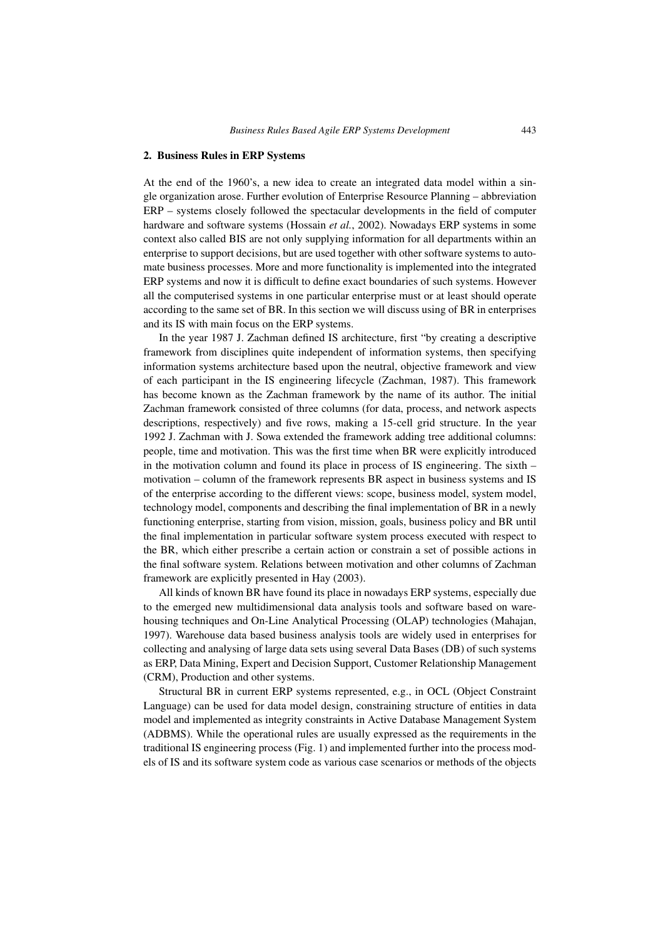# **2. Business Rules in ERP Systems**

At the end of the 1960's, a new idea to create an integrated data model within a single organization arose. Further evolution of Enterprise Resource Planning – abbreviation ERP – systems closely followed the spectacular developments in the field of computer hardware and software systems (Hossain *et al.*, 2002). Nowadays ERP systems in some context also called BIS are not only supplying information for all departments within an enterprise to support decisions, but are used together with other software systems to automate business processes. More and more functionality is implemented into the integrated ERP systems and now it is difficult to define exact boundaries of such systems. However all the computerised systems in one particular enterprise must or at least should operate according to the same set of BR. In this section we will discuss using of BR in enterprises and its IS with main focus on the ERP systems.

In the year 1987 J. Zachman defined IS architecture, first "by creating a descriptive framework from disciplines quite independent of information systems, then specifying information systems architecture based upon the neutral, objective framework and view of each participant in the IS engineering lifecycle (Zachman, 1987). This framework has become known as the Zachman framework by the name of its author. The initial Zachman framework consisted of three columns (for data, process, and network aspects descriptions, respectively) and five rows, making a 15-cell grid structure. In the year 1992 J. Zachman with J. Sowa extended the framework adding tree additional columns: people, time and motivation. This was the first time when BR were explicitly introduced in the motivation column and found its place in process of IS engineering. The sixth – motivation – column of the framework represents BR aspect in business systems and IS of the enterprise according to the different views: scope, business model, system model, technology model, components and describing the final implementation of BR in a newly functioning enterprise, starting from vision, mission, goals, business policy and BR until the final implementation in particular software system process executed with respect to the BR, which either prescribe a certain action or constrain a set of possible actions in the final software system. Relations between motivation and other columns of Zachman framework are explicitly presented in Hay (2003).

All kinds of known BR have found its place in nowadays ERP systems, especially due to the emerged new multidimensional data analysis tools and software based on warehousing techniques and On-Line Analytical Processing (OLAP) technologies (Mahajan, 1997). Warehouse data based business analysis tools are widely used in enterprises for collecting and analysing of large data sets using several Data Bases (DB) of such systems as ERP, Data Mining, Expert and Decision Support, Customer Relationship Management (CRM), Production and other systems.

Structural BR in current ERP systems represented, e.g., in OCL (Object Constraint Language) can be used for data model design, constraining structure of entities in data model and implemented as integrity constraints in Active Database Management System (ADBMS). While the operational rules are usually expressed as the requirements in the traditional IS engineering process (Fig. 1) and implemented further into the process models of IS and its software system code as various case scenarios or methods of the objects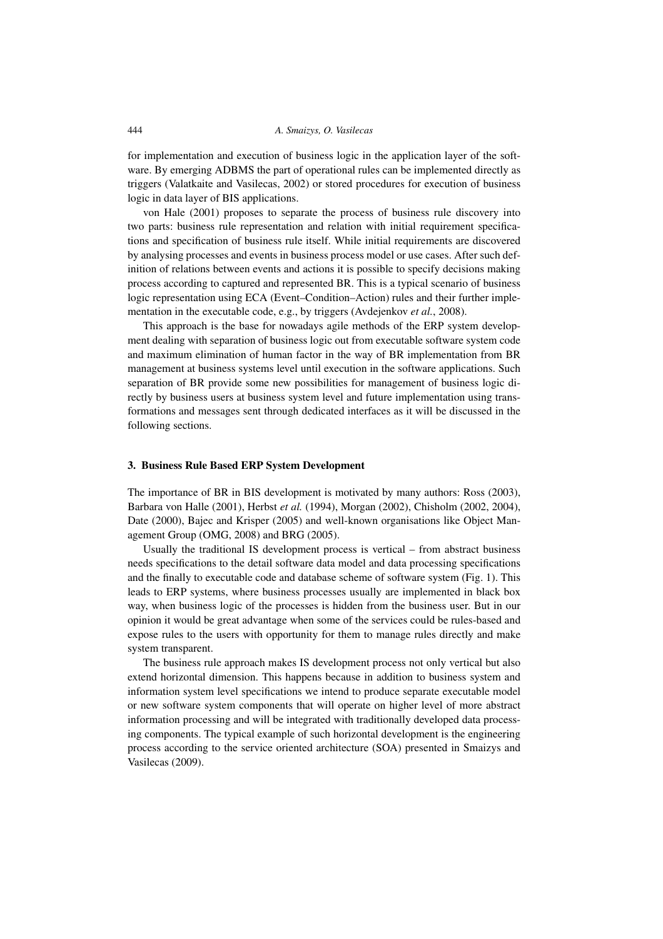for implementation and execution of business logic in the application layer of the software. By emerging ADBMS the part of operational rules can be implemented directly as triggers (Valatkaite and Vasilecas, 2002) or stored procedures for execution of business logic in data layer of BIS applications.

von Hale (2001) proposes to separate the process of business rule discovery into two parts: business rule representation and relation with initial requirement specifications and specification of business rule itself. While initial requirements are discovered by analysing processes and events in business process model or use cases. After such definition of relations between events and actions it is possible to specify decisions making process according to captured and represented BR. This is a typical scenario of business logic representation using ECA (Event–Condition–Action) rules and their further implementation in the executable code, e.g., by triggers (Avdejenkov *et al.*, 2008).

This approach is the base for nowadays agile methods of the ERP system development dealing with separation of business logic out from executable software system code and maximum elimination of human factor in the way of BR implementation from BR management at business systems level until execution in the software applications. Such separation of BR provide some new possibilities for management of business logic directly by business users at business system level and future implementation using transformations and messages sent through dedicated interfaces as it will be discussed in the following sections.

#### **3. Business Rule Based ERP System Development**

The importance of BR in BIS development is motivated by many authors: Ross (2003), Barbara von Halle (2001), Herbst *et al.* (1994), Morgan (2002), Chisholm (2002, 2004), Date (2000), Bajec and Krisper (2005) and well-known organisations like Object Management Group (OMG, 2008) and BRG (2005).

Usually the traditional IS development process is vertical – from abstract business needs specifications to the detail software data model and data processing specifications and the finally to executable code and database scheme of software system (Fig. 1). This leads to ERP systems, where business processes usually are implemented in black box way, when business logic of the processes is hidden from the business user. But in our opinion it would be great advantage when some of the services could be rules-based and expose rules to the users with opportunity for them to manage rules directly and make system transparent.

The business rule approach makes IS development process not only vertical but also extend horizontal dimension. This happens because in addition to business system and information system level specifications we intend to produce separate executable model or new software system components that will operate on higher level of more abstract information processing and will be integrated with traditionally developed data processing components. The typical example of such horizontal development is the engineering process according to the service oriented architecture (SOA) presented in Smaizys and Vasilecas (2009).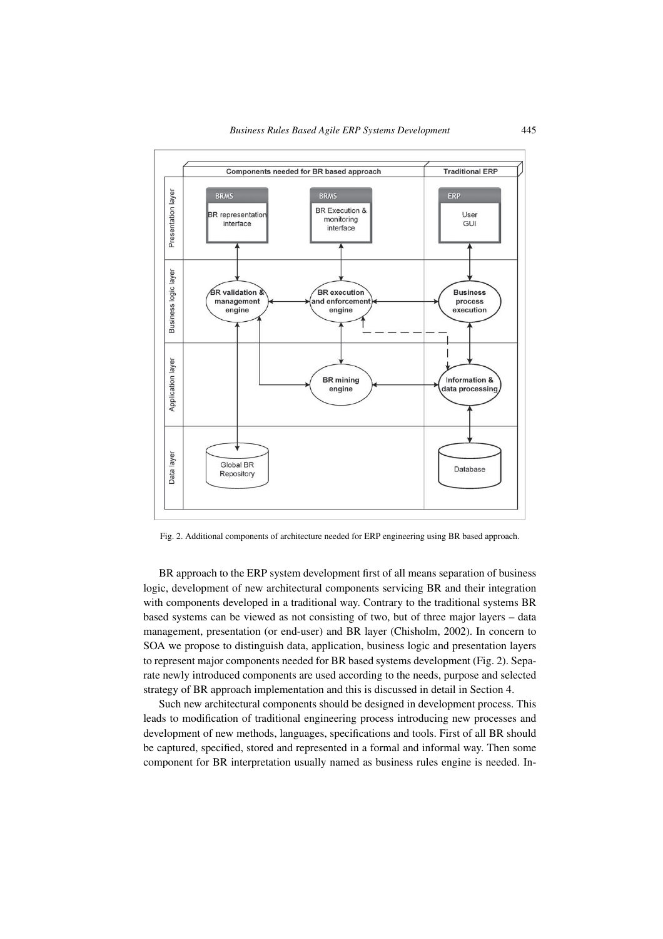

Fig. 2. Additional components of architecture needed for ERP engineering using BR based approach.

BR approach to the ERP system development first of all means separation of business logic, development of new architectural components servicing BR and their integration with components developed in a traditional way. Contrary to the traditional systems BR based systems can be viewed as not consisting of two, but of three major layers – data management, presentation (or end-user) and BR layer (Chisholm, 2002). In concern to SOA we propose to distinguish data, application, business logic and presentation layers to represent major components needed for BR based systems development (Fig. 2). Separate newly introduced components are used according to the needs, purpose and selected strategy of BR approach implementation and this is discussed in detail in Section 4.

Such new architectural components should be designed in development process. This leads to modification of traditional engineering process introducing new processes and development of new methods, languages, specifications and tools. First of all BR should be captured, specified, stored and represented in a formal and informal way. Then some component for BR interpretation usually named as business rules engine is needed. In-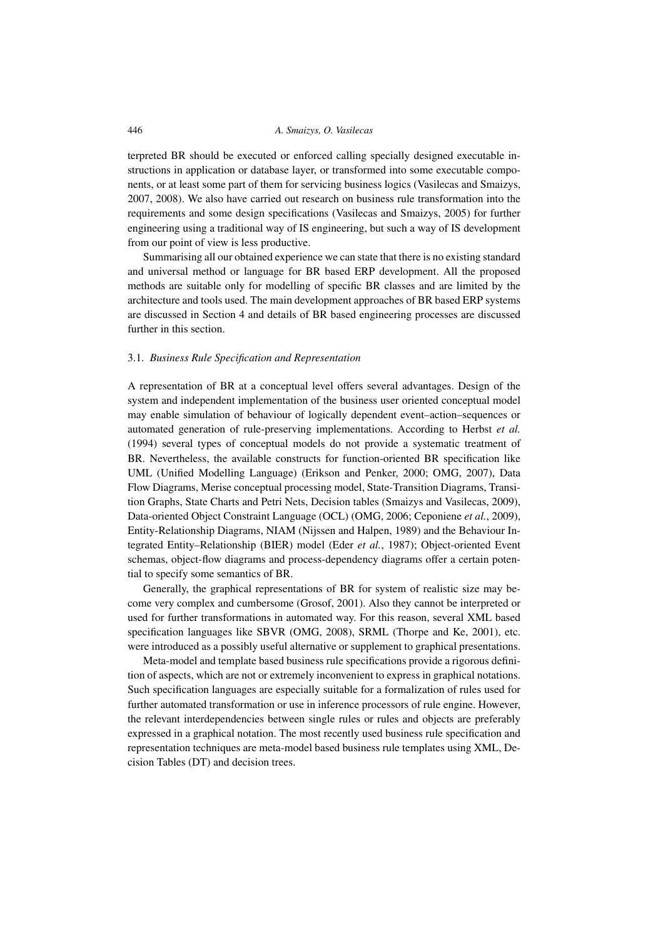#### 446 *A. Smaizys, O. Vasilecas*

terpreted BR should be executed or enforced calling specially designed executable instructions in application or database layer, or transformed into some executable components, or at least some part of them for servicing business logics (Vasilecas and Smaizys, 2007, 2008). We also have carried out research on business rule transformation into the requirements and some design specifications (Vasilecas and Smaizys, 2005) for further engineering using a traditional way of IS engineering, but such a way of IS development from our point of view is less productive.

Summarising all our obtained experience we can state that there is no existing standard and universal method or language for BR based ERP development. All the proposed methods are suitable only for modelling of specific BR classes and are limited by the architecture and tools used. The main development approaches of BR based ERP systems are discussed in Section 4 and details of BR based engineering processes are discussed further in this section.

### 3.1. *Business Rule Specification and Representation*

A representation of BR at a conceptual level offers several advantages. Design of the system and independent implementation of the business user oriented conceptual model may enable simulation of behaviour of logically dependent event–action–sequences or automated generation of rule-preserving implementations. According to Herbst *et al.* (1994) several types of conceptual models do not provide a systematic treatment of BR. Nevertheless, the available constructs for function-oriented BR specification like UML (Unified Modelling Language) (Erikson and Penker, 2000; OMG, 2007), Data Flow Diagrams, Merise conceptual processing model, State-Transition Diagrams, Transition Graphs, State Charts and Petri Nets, Decision tables (Smaizys and Vasilecas, 2009), Data-oriented Object Constraint Language (OCL) (OMG, 2006; Ceponiene *et al.*, 2009), Entity-Relationship Diagrams, NIAM (Nijssen and Halpen, 1989) and the Behaviour Integrated Entity–Relationship (BIER) model (Eder *et al.*, 1987); Object-oriented Event schemas, object-flow diagrams and process-dependency diagrams offer a certain potential to specify some semantics of BR.

Generally, the graphical representations of BR for system of realistic size may become very complex and cumbersome (Grosof, 2001). Also they cannot be interpreted or used for further transformations in automated way. For this reason, several XML based specification languages like SBVR (OMG, 2008), SRML (Thorpe and Ke, 2001), etc. were introduced as a possibly useful alternative or supplement to graphical presentations.

Meta-model and template based business rule specifications provide a rigorous definition of aspects, which are not or extremely inconvenient to express in graphical notations. Such specification languages are especially suitable for a formalization of rules used for further automated transformation or use in inference processors of rule engine. However, the relevant interdependencies between single rules or rules and objects are preferably expressed in a graphical notation. The most recently used business rule specification and representation techniques are meta-model based business rule templates using XML, Decision Tables (DT) and decision trees.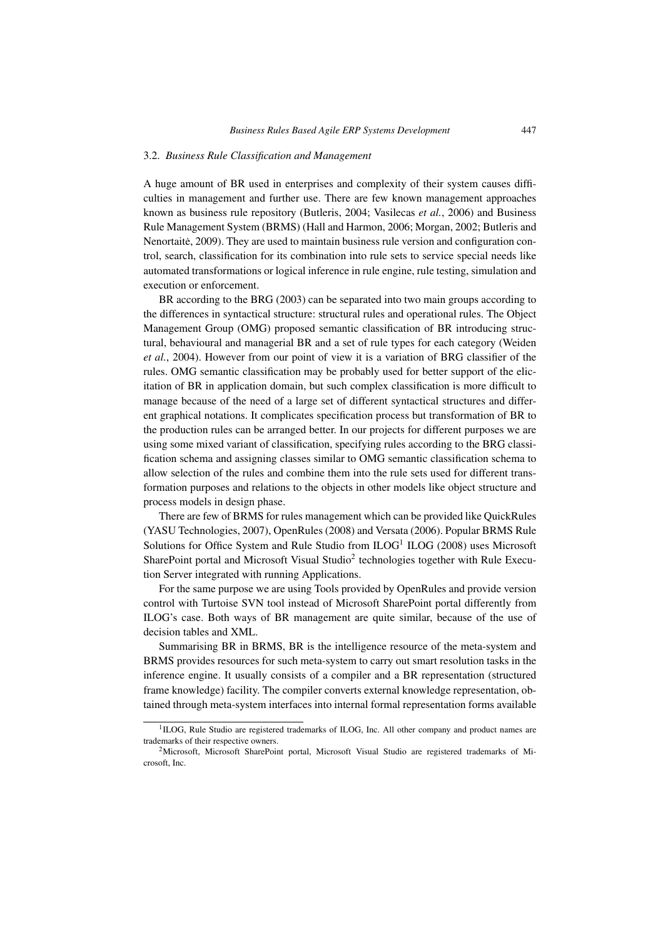### 3.2. *Business Rule Classification and Management*

A huge amount of BR used in enterprises and complexity of their system causes difficulties in management and further use. There are few known management approaches known as business rule repository (Butleris, 2004; Vasilecas *et al.*, 2006) and Business Rule Management System (BRMS) (Hall and Harmon, 2006; Morgan, 2002; Butleris and Nenortaite, 2009). They are used to maintain business rule version and configuration control, search, classification for its combination into rule sets to service special needs like automated transformations or logical inference in rule engine, rule testing, simulation and execution or enforcement.

BR according to the BRG (2003) can be separated into two main groups according to the differences in syntactical structure: structural rules and operational rules. The Object Management Group (OMG) proposed semantic classification of BR introducing structural, behavioural and managerial BR and a set of rule types for each category (Weiden *et al.*, 2004). However from our point of view it is a variation of BRG classifier of the rules. OMG semantic classification may be probably used for better support of the elicitation of BR in application domain, but such complex classification is more difficult to manage because of the need of a large set of different syntactical structures and different graphical notations. It complicates specification process but transformation of BR to the production rules can be arranged better. In our projects for different purposes we are using some mixed variant of classification, specifying rules according to the BRG classification schema and assigning classes similar to OMG semantic classification schema to allow selection of the rules and combine them into the rule sets used for different transformation purposes and relations to the objects in other models like object structure and process models in design phase.

There are few of BRMS for rules management which can be provided like QuickRules (YASU Technologies, 2007), OpenRules (2008) and Versata (2006). Popular BRMS Rule Solutions for Office System and Rule Studio from  $ILOG<sup>1</sup> ILOG (2008)$  uses Microsoft SharePoint portal and Microsoft Visual Studio<sup>2</sup> technologies together with Rule Execution Server integrated with running Applications.

For the same purpose we are using Tools provided by OpenRules and provide version control with Turtoise SVN tool instead of Microsoft SharePoint portal differently from ILOG's case. Both ways of BR management are quite similar, because of the use of decision tables and XML.

Summarising BR in BRMS, BR is the intelligence resource of the meta-system and BRMS provides resources for such meta-system to carry out smart resolution tasks in the inference engine. It usually consists of a compiler and a BR representation (structured frame knowledge) facility. The compiler converts external knowledge representation, obtained through meta-system interfaces into internal formal representation forms available

<sup>&</sup>lt;sup>1</sup>ILOG, Rule Studio are registered trademarks of ILOG, Inc. All other company and product names are trademarks of their respective owners.

<sup>2</sup>Microsoft, Microsoft SharePoint portal, Microsoft Visual Studio are registered trademarks of Microsoft, Inc.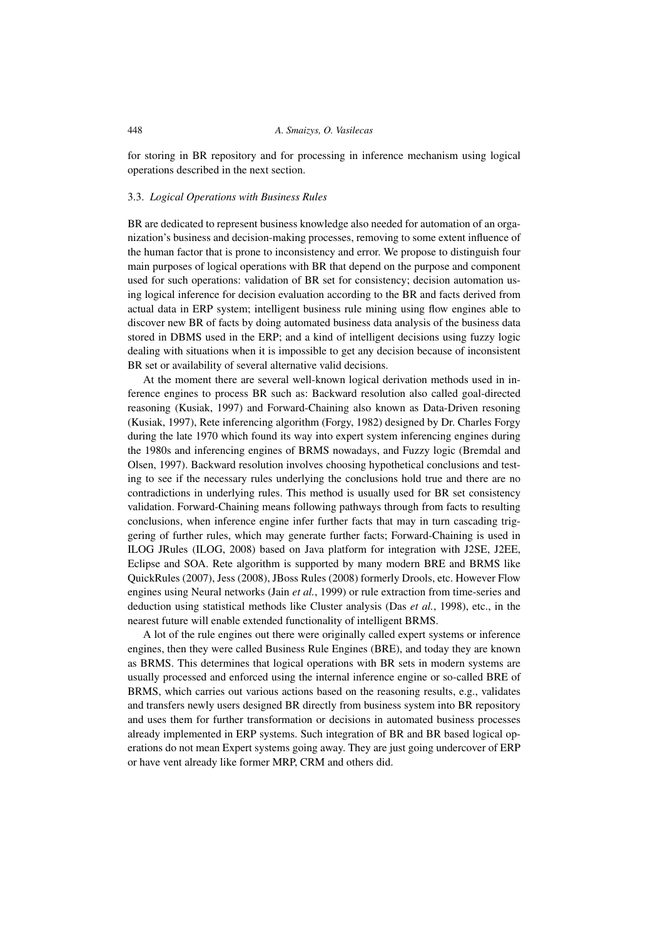### 448 *A. Smaizys, O. Vasilecas*

for storing in BR repository and for processing in inference mechanism using logical operations described in the next section.

#### 3.3. *Logical Operations with Business Rules*

BR are dedicated to represent business knowledge also needed for automation of an organization's business and decision-making processes, removing to some extent influence of the human factor that is prone to inconsistency and error. We propose to distinguish four main purposes of logical operations with BR that depend on the purpose and component used for such operations: validation of BR set for consistency; decision automation using logical inference for decision evaluation according to the BR and facts derived from actual data in ERP system; intelligent business rule mining using flow engines able to discover new BR of facts by doing automated business data analysis of the business data stored in DBMS used in the ERP; and a kind of intelligent decisions using fuzzy logic dealing with situations when it is impossible to get any decision because of inconsistent BR set or availability of several alternative valid decisions.

At the moment there are several well-known logical derivation methods used in inference engines to process BR such as: Backward resolution also called goal-directed reasoning (Kusiak, 1997) and Forward-Chaining also known as Data-Driven resoning (Kusiak, 1997), Rete inferencing algorithm (Forgy, 1982) designed by Dr. Charles Forgy during the late 1970 which found its way into expert system inferencing engines during the 1980s and inferencing engines of BRMS nowadays, and Fuzzy logic (Bremdal and Olsen, 1997). Backward resolution involves choosing hypothetical conclusions and testing to see if the necessary rules underlying the conclusions hold true and there are no contradictions in underlying rules. This method is usually used for BR set consistency validation. Forward-Chaining means following pathways through from facts to resulting conclusions, when inference engine infer further facts that may in turn cascading triggering of further rules, which may generate further facts; Forward-Chaining is used in ILOG JRules (ILOG, 2008) based on Java platform for integration with J2SE, J2EE, Eclipse and SOA. Rete algorithm is supported by many modern BRE and BRMS like QuickRules (2007), Jess (2008), JBoss Rules (2008) formerly Drools, etc. However Flow engines using Neural networks (Jain *et al.*, 1999) or rule extraction from time-series and deduction using statistical methods like Cluster analysis (Das *et al.*, 1998), etc., in the nearest future will enable extended functionality of intelligent BRMS.

A lot of the rule engines out there were originally called expert systems or inference engines, then they were called Business Rule Engines (BRE), and today they are known as BRMS. This determines that logical operations with BR sets in modern systems are usually processed and enforced using the internal inference engine or so-called BRE of BRMS, which carries out various actions based on the reasoning results, e.g., validates and transfers newly users designed BR directly from business system into BR repository and uses them for further transformation or decisions in automated business processes already implemented in ERP systems. Such integration of BR and BR based logical operations do not mean Expert systems going away. They are just going undercover of ERP or have vent already like former MRP, CRM and others did.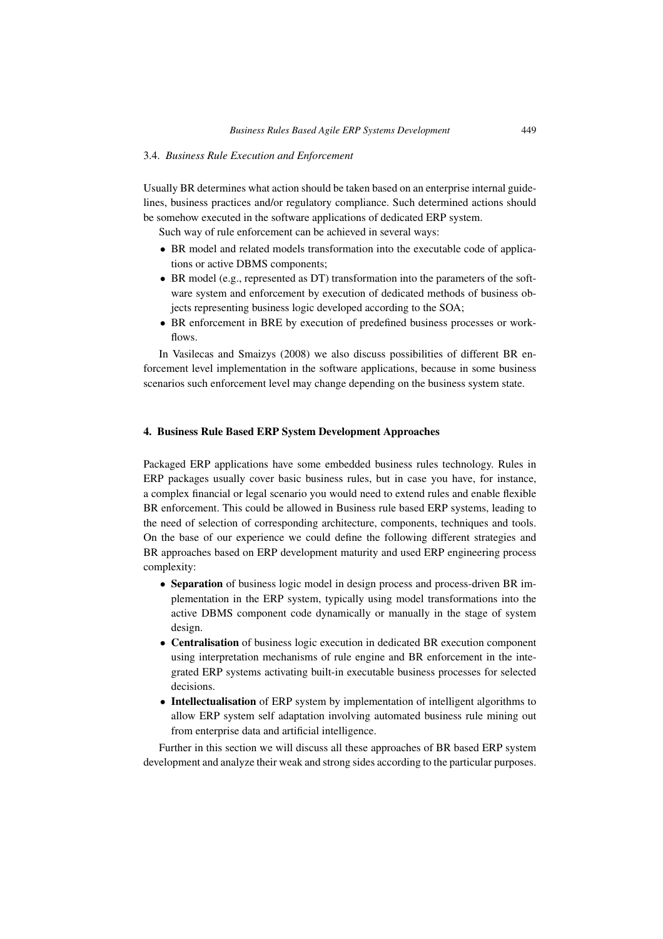# 3.4. *Business Rule Execution and Enforcement*

Usually BR determines what action should be taken based on an enterprise internal guidelines, business practices and/or regulatory compliance. Such determined actions should be somehow executed in the software applications of dedicated ERP system.

Such way of rule enforcement can be achieved in several ways:

- BR model and related models transformation into the executable code of applications or active DBMS components;
- BR model (e.g., represented as DT) transformation into the parameters of the software system and enforcement by execution of dedicated methods of business objects representing business logic developed according to the SOA;
- BR enforcement in BRE by execution of predefined business processes or workflows.

In Vasilecas and Smaizys (2008) we also discuss possibilities of different BR enforcement level implementation in the software applications, because in some business scenarios such enforcement level may change depending on the business system state.

# **4. Business Rule Based ERP System Development Approaches**

Packaged ERP applications have some embedded business rules technology. Rules in ERP packages usually cover basic business rules, but in case you have, for instance, a complex financial or legal scenario you would need to extend rules and enable flexible BR enforcement. This could be allowed in Business rule based ERP systems, leading to the need of selection of corresponding architecture, components, techniques and tools. On the base of our experience we could define the following different strategies and BR approaches based on ERP development maturity and used ERP engineering process complexity:

- **Separation** of business logic model in design process and process-driven BR implementation in the ERP system, typically using model transformations into the active DBMS component code dynamically or manually in the stage of system design.
- **Centralisation** of business logic execution in dedicated BR execution component using interpretation mechanisms of rule engine and BR enforcement in the integrated ERP systems activating built-in executable business processes for selected decisions.
- **Intellectualisation** of ERP system by implementation of intelligent algorithms to allow ERP system self adaptation involving automated business rule mining out from enterprise data and artificial intelligence.

Further in this section we will discuss all these approaches of BR based ERP system development and analyze their weak and strong sides according to the particular purposes.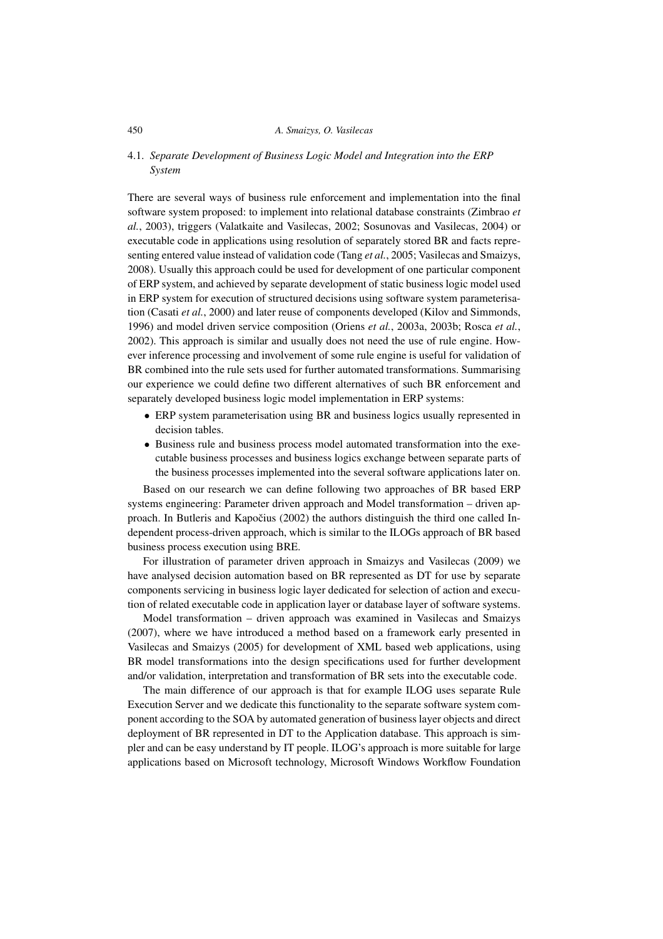# 450 *A. Smaizys, O. Vasilecas*

# 4.1. *Separate Development of Business Logic Model and Integration into the ERP System*

There are several ways of business rule enforcement and implementation into the final software system proposed: to implement into relational database constraints (Zimbrao *et al.*, 2003), triggers (Valatkaite and Vasilecas, 2002; Sosunovas and Vasilecas, 2004) or executable code in applications using resolution of separately stored BR and facts representing entered value instead of validation code (Tang *et al.*, 2005; Vasilecas and Smaizys, 2008). Usually this approach could be used for development of one particular component of ERP system, and achieved by separate development of static business logic model used in ERP system for execution of structured decisions using software system parameterisation (Casati *et al.*, 2000) and later reuse of components developed (Kilov and Simmonds, 1996) and model driven service composition (Oriens *et al.*, 2003a, 2003b; Rosca *et al.*, 2002). This approach is similar and usually does not need the use of rule engine. However inference processing and involvement of some rule engine is useful for validation of BR combined into the rule sets used for further automated transformations. Summarising our experience we could define two different alternatives of such BR enforcement and separately developed business logic model implementation in ERP systems:

- ERP system parameterisation using BR and business logics usually represented in decision tables.
- Business rule and business process model automated transformation into the executable business processes and business logics exchange between separate parts of the business processes implemented into the several software applications later on.

Based on our research we can define following two approaches of BR based ERP systems engineering: Parameter driven approach and Model transformation – driven approach. In Butleris and Kapočius (2002) the authors distinguish the third one called Independent process-driven approach, which is similar to the ILOGs approach of BR based business process execution using BRE.

For illustration of parameter driven approach in Smaizys and Vasilecas (2009) we have analysed decision automation based on BR represented as DT for use by separate components servicing in business logic layer dedicated for selection of action and execution of related executable code in application layer or database layer of software systems.

Model transformation – driven approach was examined in Vasilecas and Smaizys (2007), where we have introduced a method based on a framework early presented in Vasilecas and Smaizys (2005) for development of XML based web applications, using BR model transformations into the design specifications used for further development and/or validation, interpretation and transformation of BR sets into the executable code.

The main difference of our approach is that for example ILOG uses separate Rule Execution Server and we dedicate this functionality to the separate software system component according to the SOA by automated generation of business layer objects and direct deployment of BR represented in DT to the Application database. This approach is simpler and can be easy understand by IT people. ILOG's approach is more suitable for large applications based on Microsoft technology, Microsoft Windows Workflow Foundation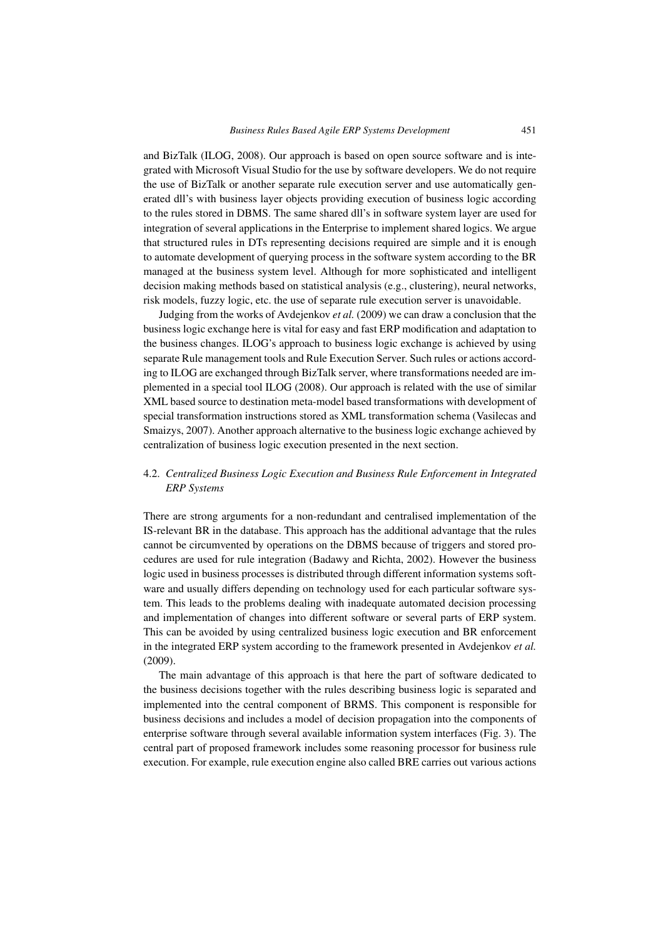and BizTalk (ILOG, 2008). Our approach is based on open source software and is integrated with Microsoft Visual Studio for the use by software developers. We do not require the use of BizTalk or another separate rule execution server and use automatically generated dll's with business layer objects providing execution of business logic according to the rules stored in DBMS. The same shared dll's in software system layer are used for integration of several applications in the Enterprise to implement shared logics. We argue that structured rules in DTs representing decisions required are simple and it is enough to automate development of querying process in the software system according to the BR managed at the business system level. Although for more sophisticated and intelligent decision making methods based on statistical analysis (e.g., clustering), neural networks, risk models, fuzzy logic, etc. the use of separate rule execution server is unavoidable.

Judging from the works of Avdejenkov *et al.* (2009) we can draw a conclusion that the business logic exchange here is vital for easy and fast ERP modification and adaptation to the business changes. ILOG's approach to business logic exchange is achieved by using separate Rule management tools and Rule Execution Server. Such rules or actions according to ILOG are exchanged through BizTalk server, where transformations needed are implemented in a special tool ILOG (2008). Our approach is related with the use of similar XML based source to destination meta-model based transformations with development of special transformation instructions stored as XML transformation schema (Vasilecas and Smaizys, 2007). Another approach alternative to the business logic exchange achieved by centralization of business logic execution presented in the next section.

# 4.2. *Centralized Business Logic Execution and Business Rule Enforcement in Integrated ERP Systems*

There are strong arguments for a non-redundant and centralised implementation of the IS-relevant BR in the database. This approach has the additional advantage that the rules cannot be circumvented by operations on the DBMS because of triggers and stored procedures are used for rule integration (Badawy and Richta, 2002). However the business logic used in business processes is distributed through different information systems software and usually differs depending on technology used for each particular software system. This leads to the problems dealing with inadequate automated decision processing and implementation of changes into different software or several parts of ERP system. This can be avoided by using centralized business logic execution and BR enforcement in the integrated ERP system according to the framework presented in Avdejenkov *et al.* (2009).

The main advantage of this approach is that here the part of software dedicated to the business decisions together with the rules describing business logic is separated and implemented into the central component of BRMS. This component is responsible for business decisions and includes a model of decision propagation into the components of enterprise software through several available information system interfaces (Fig. 3). The central part of proposed framework includes some reasoning processor for business rule execution. For example, rule execution engine also called BRE carries out various actions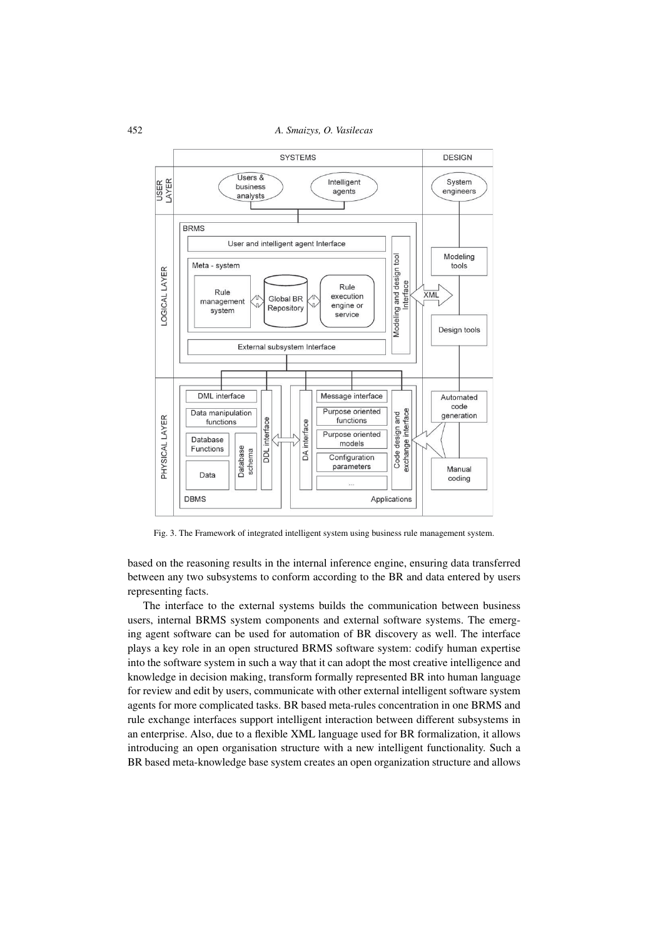

Fig. 3. The Framework of integrated intelligent system using business rule management system.

based on the reasoning results in the internal inference engine, ensuring data transferred between any two subsystems to conform according to the BR and data entered by users representing facts.

The interface to the external systems builds the communication between business users, internal BRMS system components and external software systems. The emerging agent software can be used for automation of BR discovery as well. The interface plays a key role in an open structured BRMS software system: codify human expertise into the software system in such a way that it can adopt the most creative intelligence and knowledge in decision making, transform formally represented BR into human language for review and edit by users, communicate with other external intelligent software system agents for more complicated tasks. BR based meta-rules concentration in one BRMS and rule exchange interfaces support intelligent interaction between different subsystems in an enterprise. Also, due to a flexible XML language used for BR formalization, it allows introducing an open organisation structure with a new intelligent functionality. Such a BR based meta-knowledge base system creates an open organization structure and allows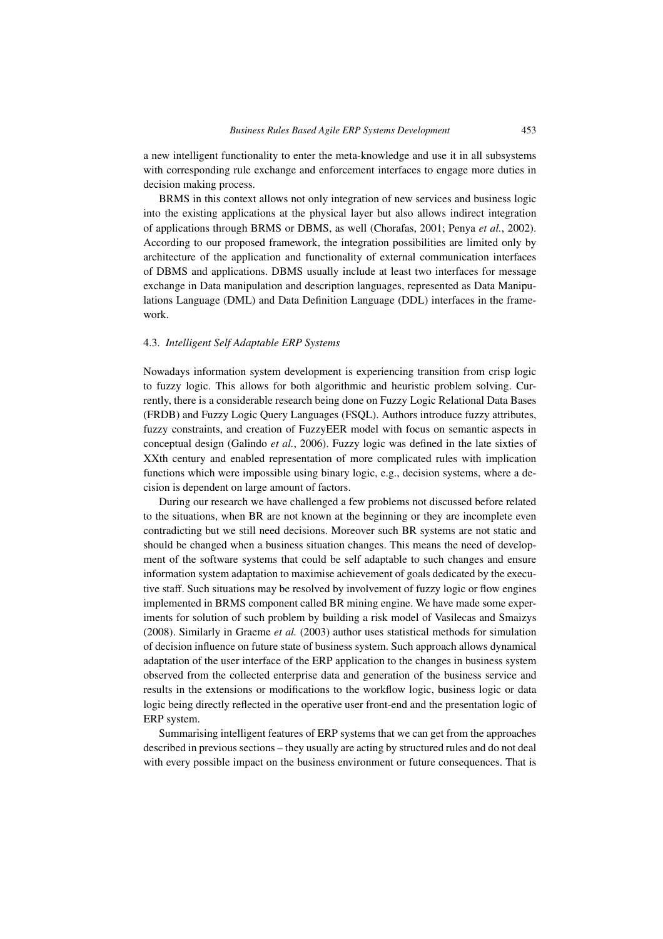a new intelligent functionality to enter the meta-knowledge and use it in all subsystems with corresponding rule exchange and enforcement interfaces to engage more duties in decision making process.

BRMS in this context allows not only integration of new services and business logic into the existing applications at the physical layer but also allows indirect integration of applications through BRMS or DBMS, as well (Chorafas, 2001; Penya *et al.*, 2002). According to our proposed framework, the integration possibilities are limited only by architecture of the application and functionality of external communication interfaces of DBMS and applications. DBMS usually include at least two interfaces for message exchange in Data manipulation and description languages, represented as Data Manipulations Language (DML) and Data Definition Language (DDL) interfaces in the framework.

#### 4.3. *Intelligent Self Adaptable ERP Systems*

Nowadays information system development is experiencing transition from crisp logic to fuzzy logic. This allows for both algorithmic and heuristic problem solving. Currently, there is a considerable research being done on Fuzzy Logic Relational Data Bases (FRDB) and Fuzzy Logic Query Languages (FSQL). Authors introduce fuzzy attributes, fuzzy constraints, and creation of FuzzyEER model with focus on semantic aspects in conceptual design (Galindo *et al.*, 2006). Fuzzy logic was defined in the late sixties of XXth century and enabled representation of more complicated rules with implication functions which were impossible using binary logic, e.g., decision systems, where a decision is dependent on large amount of factors.

During our research we have challenged a few problems not discussed before related to the situations, when BR are not known at the beginning or they are incomplete even contradicting but we still need decisions. Moreover such BR systems are not static and should be changed when a business situation changes. This means the need of development of the software systems that could be self adaptable to such changes and ensure information system adaptation to maximise achievement of goals dedicated by the executive staff. Such situations may be resolved by involvement of fuzzy logic or flow engines implemented in BRMS component called BR mining engine. We have made some experiments for solution of such problem by building a risk model of Vasilecas and Smaizys (2008). Similarly in Graeme *et al.* (2003) author uses statistical methods for simulation of decision influence on future state of business system. Such approach allows dynamical adaptation of the user interface of the ERP application to the changes in business system observed from the collected enterprise data and generation of the business service and results in the extensions or modifications to the workflow logic, business logic or data logic being directly reflected in the operative user front-end and the presentation logic of ERP system.

Summarising intelligent features of ERP systems that we can get from the approaches described in previous sections – they usually are acting by structured rules and do not deal with every possible impact on the business environment or future consequences. That is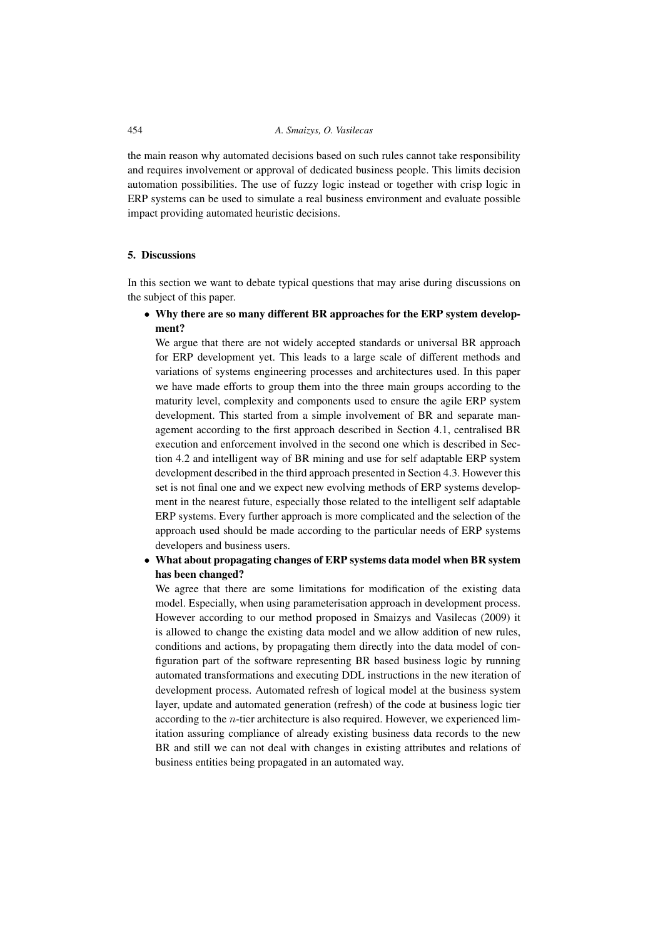the main reason why automated decisions based on such rules cannot take responsibility and requires involvement or approval of dedicated business people. This limits decision automation possibilities. The use of fuzzy logic instead or together with crisp logic in ERP systems can be used to simulate a real business environment and evaluate possible impact providing automated heuristic decisions.

# **5. Discussions**

In this section we want to debate typical questions that may arise during discussions on the subject of this paper.

• **Why there are so many different BR approaches for the ERP system development?**

We argue that there are not widely accepted standards or universal BR approach for ERP development yet. This leads to a large scale of different methods and variations of systems engineering processes and architectures used. In this paper we have made efforts to group them into the three main groups according to the maturity level, complexity and components used to ensure the agile ERP system development. This started from a simple involvement of BR and separate management according to the first approach described in Section 4.1, centralised BR execution and enforcement involved in the second one which is described in Section 4.2 and intelligent way of BR mining and use for self adaptable ERP system development described in the third approach presented in Section 4.3. However this set is not final one and we expect new evolving methods of ERP systems development in the nearest future, especially those related to the intelligent self adaptable ERP systems. Every further approach is more complicated and the selection of the approach used should be made according to the particular needs of ERP systems developers and business users.

# • **What about propagating changes of ERP systems data model when BR system has been changed?**

We agree that there are some limitations for modification of the existing data model. Especially, when using parameterisation approach in development process. However according to our method proposed in Smaizys and Vasilecas (2009) it is allowed to change the existing data model and we allow addition of new rules, conditions and actions, by propagating them directly into the data model of configuration part of the software representing BR based business logic by running automated transformations and executing DDL instructions in the new iteration of development process. Automated refresh of logical model at the business system layer, update and automated generation (refresh) of the code at business logic tier according to the n-tier architecture is also required. However, we experienced limitation assuring compliance of already existing business data records to the new BR and still we can not deal with changes in existing attributes and relations of business entities being propagated in an automated way.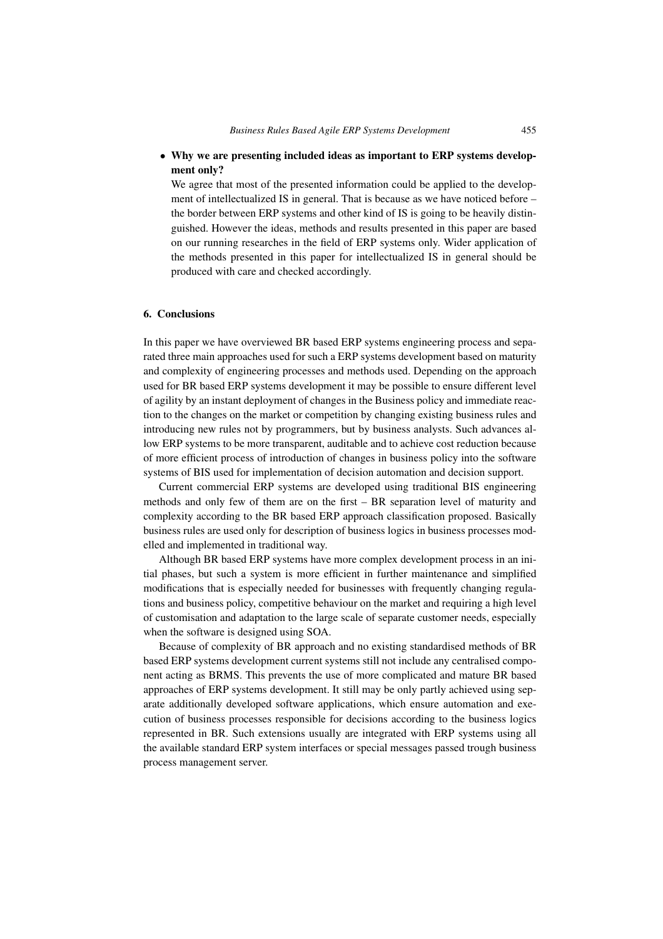# • **Why we are presenting included ideas as important to ERP systems development only?**

We agree that most of the presented information could be applied to the development of intellectualized IS in general. That is because as we have noticed before – the border between ERP systems and other kind of IS is going to be heavily distinguished. However the ideas, methods and results presented in this paper are based on our running researches in the field of ERP systems only. Wider application of the methods presented in this paper for intellectualized IS in general should be produced with care and checked accordingly.

# **6. Conclusions**

In this paper we have overviewed BR based ERP systems engineering process and separated three main approaches used for such a ERP systems development based on maturity and complexity of engineering processes and methods used. Depending on the approach used for BR based ERP systems development it may be possible to ensure different level of agility by an instant deployment of changes in the Business policy and immediate reaction to the changes on the market or competition by changing existing business rules and introducing new rules not by programmers, but by business analysts. Such advances allow ERP systems to be more transparent, auditable and to achieve cost reduction because of more efficient process of introduction of changes in business policy into the software systems of BIS used for implementation of decision automation and decision support.

Current commercial ERP systems are developed using traditional BIS engineering methods and only few of them are on the first – BR separation level of maturity and complexity according to the BR based ERP approach classification proposed. Basically business rules are used only for description of business logics in business processes modelled and implemented in traditional way.

Although BR based ERP systems have more complex development process in an initial phases, but such a system is more efficient in further maintenance and simplified modifications that is especially needed for businesses with frequently changing regulations and business policy, competitive behaviour on the market and requiring a high level of customisation and adaptation to the large scale of separate customer needs, especially when the software is designed using SOA.

Because of complexity of BR approach and no existing standardised methods of BR based ERP systems development current systems still not include any centralised component acting as BRMS. This prevents the use of more complicated and mature BR based approaches of ERP systems development. It still may be only partly achieved using separate additionally developed software applications, which ensure automation and execution of business processes responsible for decisions according to the business logics represented in BR. Such extensions usually are integrated with ERP systems using all the available standard ERP system interfaces or special messages passed trough business process management server.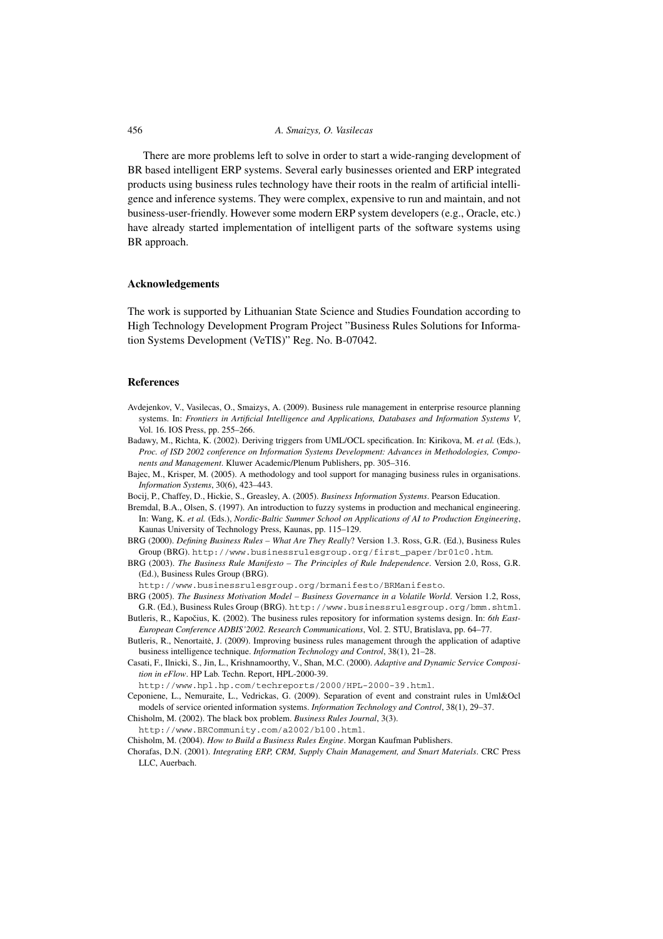There are more problems left to solve in order to start a wide-ranging development of BR based intelligent ERP systems. Several early businesses oriented and ERP integrated products using business rules technology have their roots in the realm of artificial intelligence and inference systems. They were complex, expensive to run and maintain, and not business-user-friendly. However some modern ERP system developers (e.g., Oracle, etc.) have already started implementation of intelligent parts of the software systems using BR approach.

#### **Acknowledgements**

The work is supported by Lithuanian State Science and Studies Foundation according to High Technology Development Program Project "Business Rules Solutions for Information Systems Development (VeTIS)" Reg. No. B-07042.

#### **References**

- Avdejenkov, V., Vasilecas, O., Smaizys, A. (2009). Business rule management in enterprise resource planning systems. In: *Frontiers in Artificial Intelligence and Applications, Databases and Information Systems V*, Vol. 16. IOS Press, pp. 255–266.
- Badawy, M., Richta, K. (2002). Deriving triggers from UML/OCL specification. In: Kirikova, M. *et al.* (Eds.), *Proc. of ISD 2002 conference on Information Systems Development: Advances in Methodologies, Components and Management*. Kluwer Academic/Plenum Publishers, pp. 305–316.
- Bajec, M., Krisper, M. (2005). A methodology and tool support for managing business rules in organisations. *Information Systems*, 30(6), 423–443.
- Bocij, P., Chaffey, D., Hickie, S., Greasley, A. (2005). *Business Information Systems*. Pearson Education.
- Bremdal, B.A., Olsen, S. (1997). An introduction to fuzzy systems in production and mechanical engineering. In: Wang, K. *et al.* (Eds.), *Nordic-Baltic Summer School on Applications of AI to Production Engineering*, Kaunas University of Technology Press, Kaunas, pp. 115–129.
- BRG (2000). *Defining Business Rules What Are They Really*? Version 1.3. Ross, G.R. (Ed.), Business Rules Group (BRG). http://www.businessrulesgroup.org/first\_paper/br01c0.htm.
- BRG (2003). *The Business Rule Manifesto The Principles of Rule Independence*. Version 2.0, Ross, G.R. (Ed.), Business Rules Group (BRG).

http://www.businessrulesgroup.org/brmanifesto/BRManifesto.

- BRG (2005). *The Business Motivation Model Business Governance in a Volatile World*. Version 1.2, Ross, G.R. (Ed.), Business Rules Group (BRG). http://www.businessrulesgroup.org/bmm.shtml.
- Butleris, R., Kapočius, K. (2002). The business rules repository for information systems design. In: 6th East-*European Conference ADBIS'2002. Research Communications*, Vol. 2. STU, Bratislava, pp. 64–77.
- Butleris, R., Nenortaitė, J. (2009). Improving business rules management through the application of adaptive business intelligence technique. *Information Technology and Control*, 38(1), 21–28.
- Casati, F., Ilnicki, S., Jin, L., Krishnamoorthy, V., Shan, M.C. (2000). *Adaptive and Dynamic Service Composition in eFlow*. HP Lab. Techn. Report, HPL-2000-39.

http://www.hpl.hp.com/techreports/2000/HPL-2000-39.html.

Ceponiene, L., Nemuraite, L., Vedrickas, G. (2009). Separation of event and constraint rules in Uml&Ocl models of service oriented information systems. *Information Technology and Control*, 38(1), 29–37.

Chisholm, M. (2002). The black box problem. *Business Rules Journal*, 3(3). http://www.BRCommunity.com/a2002/b100.html.

Chisholm, M. (2004). *How to Build a Business Rules Engine*. Morgan Kaufman Publishers.

Chorafas, D.N. (2001). *Integrating ERP, CRM, Supply Chain Management, and Smart Materials*. CRC Press LLC, Auerbach.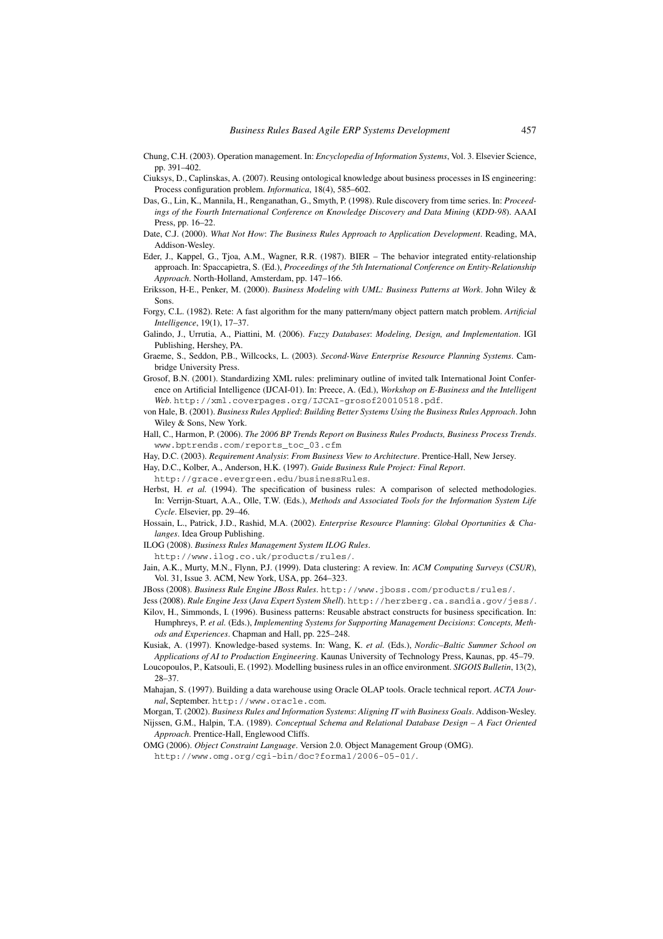- Ciuksys, D., Caplinskas, A. (2007). Reusing ontological knowledge about business processes in IS engineering: Process configuration problem. *Informatica*, 18(4), 585–602.
- Das, G., Lin, K., Mannila, H., Renganathan, G., Smyth, P. (1998). Rule discovery from time series. In: *Proceedings of the Fourth International Conference on Knowledge Discovery and Data Mining* (*KDD-98*). AAAI Press, pp. 16–22.
- Date, C.J. (2000). *What Not How*: *The Business Rules Approach to Application Development*. Reading, MA, Addison-Wesley.
- Eder, J., Kappel, G., Tjoa, A.M., Wagner, R.R. (1987). BIER The behavior integrated entity-relationship approach. In: Spaccapietra, S. (Ed.), *Proceedings of the 5th International Conference on Entity-Relationship Approach*. North-Holland, Amsterdam, pp. 147–166.
- Eriksson, H-E., Penker, M. (2000). *Business Modeling with UML: Business Patterns at Work*. John Wiley & Sons.
- Forgy, C.L. (1982). Rete: A fast algorithm for the many pattern/many object pattern match problem. *Artificial Intelligence*, 19(1), 17–37.
- Galindo, J., Urrutia, A., Piattini, M. (2006). *Fuzzy Databases*: *Modeling, Design, and Implementation*. IGI Publishing, Hershey, PA.
- Graeme, S., Seddon, P.B., Willcocks, L. (2003). *Second-Wave Enterprise Resource Planning Systems*. Cambridge University Press.
- Grosof, B.N. (2001). Standardizing XML rules: preliminary outline of invited talk International Joint Conference on Artificial Intelligence (IJCAI-01). In: Preece, A. (Ed.), *Workshop on E-Business and the Intelligent Web*. http://xml.coverpages.org/IJCAI-grosof20010518.pdf.
- von Hale, B. (2001). *Business Rules Applied*: *Building Better Systems Using the Business Rules Approach*. John Wiley & Sons, New York.
- Hall, C., Harmon, P. (2006). *The 2006 BP Trends Report on Business Rules Products, Business Process Trends*. www.bptrends.com/reports\_toc\_03.cfm
- Hay, D.C. (2003). *Requirement Analysis*: *From Business View to Architecture*. Prentice-Hall, New Jersey.
- Hay, D.C., Kolber, A., Anderson, H.K. (1997). *Guide Business Rule Project: Final Report*.

http://grace.evergreen.edu/businessRules.

- Herbst, H. *et al.* (1994). The specification of business rules: A comparison of selected methodologies. In: Verrijn-Stuart, A.A., Olle, T.W. (Eds.), *Methods and Associated Tools for the Information System Life Cycle*. Elsevier, pp. 29–46.
- Hossain, L., Patrick, J.D., Rashid, M.A. (2002). *Enterprise Resource Planning*: *Global Oportunities & Chalanges*. Idea Group Publishing.

ILOG (2008). *Business Rules Management System ILOG Rules*. http://www.ilog.co.uk/products/rules/.

Jain, A.K., Murty, M.N., Flynn, P.J. (1999). Data clustering: A review. In: *ACM Computing Surveys* (*CSUR*), Vol. 31, Issue 3. ACM, New York, USA, pp. 264–323.

JBoss (2008). *Business Rule Engine JBoss Rules*. http://www.jboss.com/products/rules/.

- Jess (2008). *Rule Engine Jess* (*Java Expert System Shell*). http://herzberg.ca.sandia.gov/jess/. Kilov, H., Simmonds, I. (1996). Business patterns: Reusable abstract constructs for business specification. In:
- Humphreys, P. *et al.* (Eds.), *Implementing Systems for Supporting Management Decisions*: *Concepts, Methods and Experiences*. Chapman and Hall, pp. 225–248.
- Kusiak, A. (1997). Knowledge-based systems. In: Wang, K. *et al.* (Eds.), *Nordic–Baltic Summer School on Applications of AI to Production Engineering*. Kaunas University of Technology Press, Kaunas, pp. 45–79.
- Loucopoulos, P., Katsouli, E. (1992). Modelling business rules in an office environment. *SIGOIS Bulletin*, 13(2), 28–37.
- Mahajan, S. (1997). Building a data warehouse using Oracle OLAP tools. Oracle technical report. *ACTA Journal*, September. http://www.oracle.com.
- Morgan, T. (2002). *Business Rules and Information Systems*: *Aligning IT with Business Goals*. Addison-Wesley. Nijssen, G.M., Halpin, T.A. (1989). *Conceptual Schema and Relational Database Design – A Fact Oriented Approach*. Prentice-Hall, Englewood Cliffs.
- OMG (2006). *Object Constraint Language*. Version 2.0. Object Management Group (OMG). http://www.omg.org/cgi-bin/doc?formal/2006-05-01/.

Chung, C.H. (2003). Operation management. In: *Encyclopedia of Information Systems*, Vol. 3. Elsevier Science, pp. 391–402.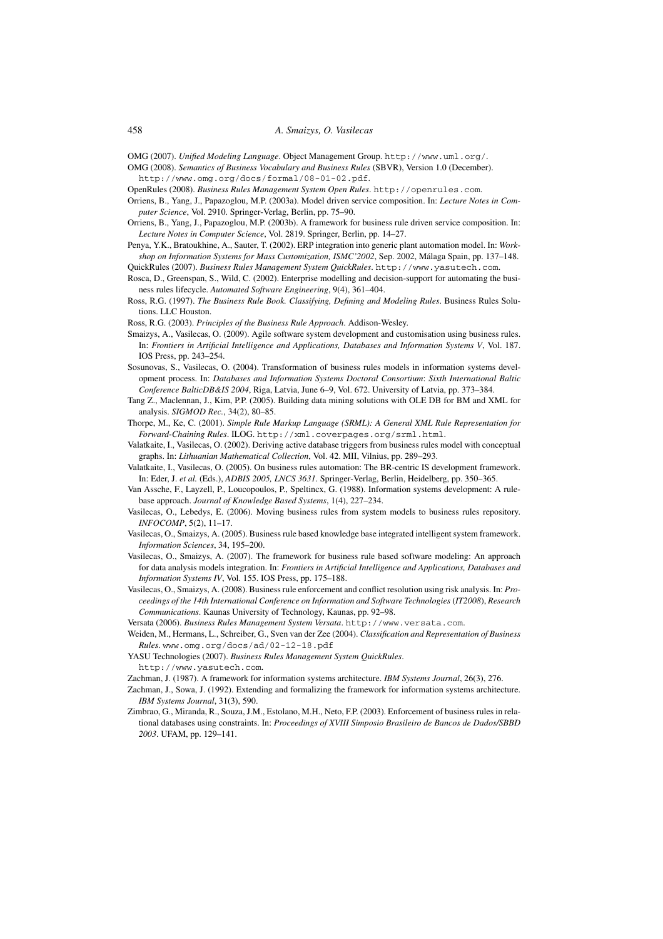OMG (2007). *Unified Modeling Language*. Object Management Group. http://www.uml.org/.

- OMG (2008). *Semantics of Business Vocabulary and Business Rules* (SBVR), Version 1.0 (December). http://www.omg.org/docs/formal/08-01-02.pdf.
- OpenRules (2008). *Business Rules Management System Open Rules*. http://openrules.com.
- Orriens, B., Yang, J., Papazoglou, M.P. (2003a). Model driven service composition. In: *Lecture Notes in Computer Science*, Vol. 2910. Springer-Verlag, Berlin, pp. 75–90.
- Orriens, B., Yang, J., Papazoglou, M.P. (2003b). A framework for business rule driven service composition. In: *Lecture Notes in Computer Science*, Vol. 2819. Springer, Berlin, pp. 14–27.
- Penya, Y.K., Bratoukhine, A., Sauter, T. (2002). ERP integration into generic plant automation model. In: *Workshop on Information Systems for Mass Customization, ISMC'2002*, Sep. 2002, Málaga Spain, pp. 137–148. QuickRules (2007). *Business Rules Management System QuickRules*. http://www.yasutech.com.
- Rosca, D., Greenspan, S., Wild, C. (2002). Enterprise modelling and decision-support for automating the business rules lifecycle. *Automated Software Engineering*, 9(4), 361–404.
- Ross, R.G. (1997). *The Business Rule Book. Classifying, Defining and Modeling Rules*. Business Rules Solutions. LLC Houston.

Ross, R.G. (2003). *Principles of the Business Rule Approach*. Addison-Wesley.

- Smaizys, A., Vasilecas, O. (2009). Agile software system development and customisation using business rules. In: *Frontiers in Artificial Intelligence and Applications, Databases and Information Systems V*, Vol. 187. IOS Press, pp. 243–254.
- Sosunovas, S., Vasilecas, O. (2004). Transformation of business rules models in information systems development process. In: *Databases and Information Systems Doctoral Consortium*: *Sixth International Baltic Conference BalticDB&IS 2004*, Riga, Latvia, June 6–9, Vol. 672. University of Latvia, pp. 373–384.
- Tang Z., Maclennan, J., Kim, P.P. (2005). Building data mining solutions with OLE DB for BM and XML for analysis. *SIGMOD Rec.*, 34(2), 80–85.
- Thorpe, M., Ke, C. (2001). *Simple Rule Markup Language (SRML): A General XML Rule Representation for Forward-Chaining Rules*. ILOG. http://xml.coverpages.org/srml.html.
- Valatkaite, I., Vasilecas, O. (2002). Deriving active database triggers from business rules model with conceptual graphs. In: *Lithuanian Mathematical Collection*, Vol. 42. MII, Vilnius, pp. 289–293.
- Valatkaite, I., Vasilecas, O. (2005). On business rules automation: The BR-centric IS development framework. In: Eder, J. *et al.* (Eds.), *ADBIS 2005, LNCS 3631*. Springer-Verlag, Berlin, Heidelberg, pp. 350–365.
- Van Assche, F., Layzell, P., Loucopoulos, P., Speltincx, G. (1988). Information systems development: A rulebase approach. *Journal of Knowledge Based Systems*, 1(4), 227–234.
- Vasilecas, O., Lebedys, E. (2006). Moving business rules from system models to business rules repository. *INFOCOMP*, 5(2), 11–17.
- Vasilecas, O., Smaizys, A. (2005). Business rule based knowledge base integrated intelligent system framework. *Information Sciences*, 34, 195–200.
- Vasilecas, O., Smaizys, A. (2007). The framework for business rule based software modeling: An approach for data analysis models integration. In: *Frontiers in Artificial Intelligence and Applications, Databases and Information Systems IV*, Vol. 155. IOS Press, pp. 175–188.
- Vasilecas, O., Smaizys, A. (2008). Business rule enforcement and conflict resolution using risk analysis. In: *Proceedings of the 14th International Conference on Information and Software Technologies* (*IT2008*), *Research Communications*. Kaunas University of Technology, Kaunas, pp. 92–98.
- Versata (2006). *Business Rules Management System Versata*. http://www.versata.com.
- Weiden, M., Hermans, L., Schreiber, G., Sven van der Zee (2004). *Classification and Representation of Business Rules*. www.omg.org/docs/ad/02-12-18.pdf
- YASU Technologies (2007). *Business Rules Management System QuickRules*.
- http://www.yasutech.com.
- Zachman, J. (1987). A framework for information systems architecture. *IBM Systems Journal*, 26(3), 276.
- Zachman, J., Sowa, J. (1992). Extending and formalizing the framework for information systems architecture. *IBM Systems Journal*, 31(3), 590.
- Zimbrao, G., Miranda, R., Souza, J.M., Estolano, M.H., Neto, F.P. (2003). Enforcement of business rules in relational databases using constraints. In: *Proceedings of XVIII Simposio Brasileiro de Bancos de Dados/SBBD 2003*. UFAM, pp. 129–141.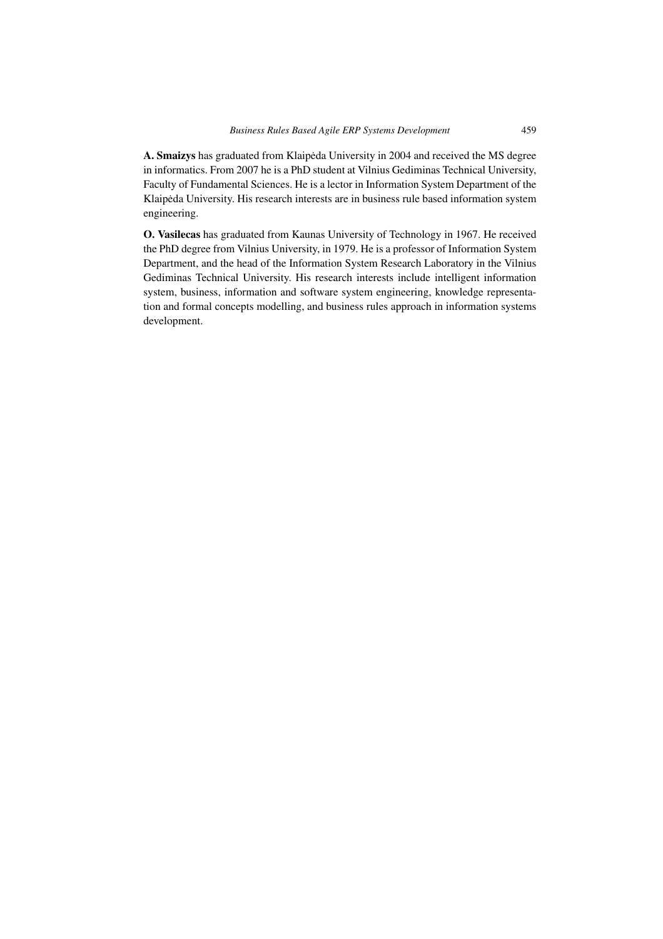A. Smaizys has graduated from Klaipeda University in 2004 and received the MS degree in informatics. From 2007 he is a PhD student at Vilnius Gediminas Technical University, Faculty of Fundamental Sciences. He is a lector in Information System Department of the Klaipėda University. His research interests are in business rule based information system engineering.

**O. Vasilecas** has graduated from Kaunas University of Technology in 1967. He received the PhD degree from Vilnius University, in 1979. He is a professor of Information System Department, and the head of the Information System Research Laboratory in the Vilnius Gediminas Technical University. His research interests include intelligent information system, business, information and software system engineering, knowledge representation and formal concepts modelling, and business rules approach in information systems development.